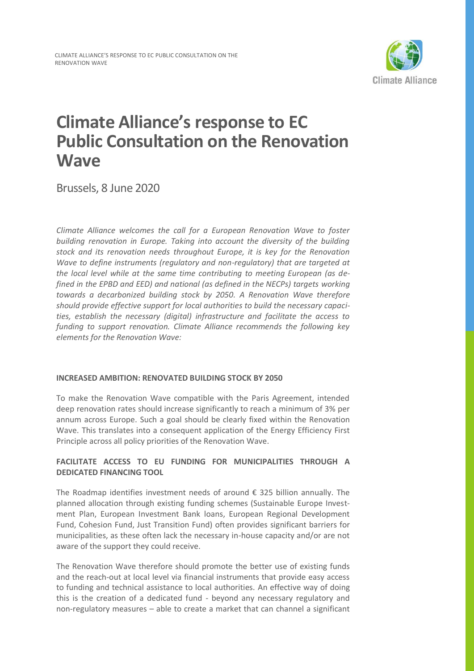

# **Climate Alliance's response to EC Public Consultation on the Renovation Wave**

Brussels, 8 June 2020

*Climate Alliance welcomes the call for a European Renovation Wave to foster building renovation in Europe. Taking into account the diversity of the building stock and its renovation needs throughout Europe, it is key for the Renovation Wave to define instruments (regulatory and non-regulatory) that are targeted at the local level while at the same time contributing to meeting European (as defined in the EPBD and EED) and national (as defined in the NECPs) targets working towards a decarbonized building stock by 2050. A Renovation Wave therefore should provide effective support for local authorities to build the necessary capacities, establish the necessary (digital) infrastructure and facilitate the access to funding to support renovation. Climate Alliance recommends the following key elements for the Renovation Wave:*

# **INCREASED AMBITION: RENOVATED BUILDING STOCK BY 2050**

To make the Renovation Wave compatible with the Paris Agreement, intended deep renovation rates should increase significantly to reach a minimum of 3% per annum across Europe. Such a goal should be clearly fixed within the Renovation Wave. This translates into a consequent application of the Energy Efficiency First Principle across all policy priorities of the Renovation Wave.

# **FACILITATE ACCESS TO EU FUNDING FOR MUNICIPALITIES THROUGH A DEDICATED FINANCING TOOL**

The Roadmap identifies investment needs of around € 325 billion annually. The planned allocation through existing funding schemes (Sustainable Europe Investment Plan, European Investment Bank loans, European Regional Development Fund, Cohesion Fund, Just Transition Fund) often provides significant barriers for municipalities, as these often lack the necessary in-house capacity and/or are not aware of the support they could receive.

The Renovation Wave therefore should promote the better use of existing funds and the reach-out at local level via financial instruments that provide easy access to funding and technical assistance to local authorities. An effective way of doing this is the creation of a dedicated fund - beyond any necessary regulatory and non-regulatory measures – able to create a market that can channel a significant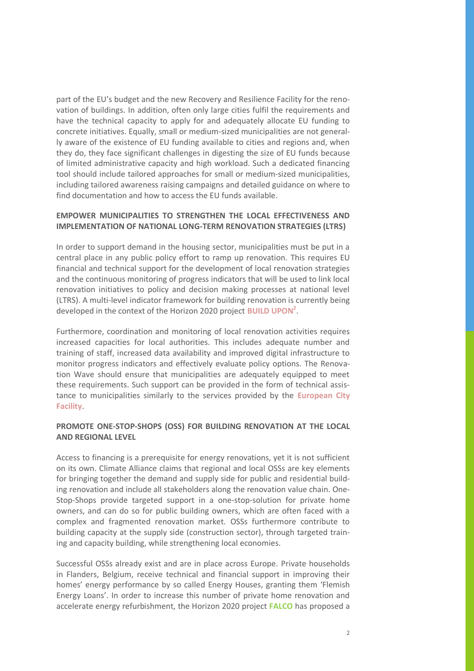part of the EU's budget and the new Recovery and Resilience Facility for the renovation of buildings. In addition, often only large cities fulfil the requirements and have the technical capacity to apply for and adequately allocate EU funding to concrete initiatives. Equally, small or medium-sized municipalities are not generally aware of the existence of EU funding available to cities and regions and, when they do, they face significant challenges in digesting the size of EU funds because of limited administrative capacity and high workload. Such a dedicated financing tool should include tailored approaches for small or medium-sized municipalities, including tailored awareness raising campaigns and detailed guidance on where to find documentation and how to access the EU funds available.

## **EMPOWER MUNICIPALITIES TO STRENGTHEN THE LOCAL EFFECTIVENESS AND IMPLEMENTATION OF NATIONAL LONG-TERM RENOVATION STRATEGIES (LTRS)**

In order to support demand in the housing sector, municipalities must be put in a central place in any public policy effort to ramp up renovation. This requires EU financial and technical support for the development of local renovation strategies and the continuous monitoring of progress indicators that will be used to link local renovation initiatives to policy and decision making processes at national level (LTRS). A multi-level indicator framework for building renovation is currently being developed in the context of the [Horizon 2020 project](https://www.worldgbc.org/news-media/build-upon-2-boosting-low-carbon-building-renovation-across-europe) **BUILD UPON<sup>2</sup>** .

Furthermore, coordination and monitoring of local renovation activities requires increased capacities for local authorities. This includes adequate number and training of staff, increased data availability and improved digital infrastructure to monitor progress indicators and effectively evaluate policy options. The Renovation Wave should ensure that municipalities are adequately equipped to meet these requirements. Such support can be provided in the form of technical assistance to municipalities similarly to the services provided by the **European City Facility**.

### **PROMOTE ONE-STOP-SHOPS (OSS) FOR BUILDING RENOVATION AT THE LOCAL AND REGIONAL LEVEL**

Access to financing is a prerequisite for energy renovations, yet it is not sufficient on its own. Climate Alliance claims that regional and local OSSs are key elements for bringing together the demand and supply side for public and residential building renovation and include all stakeholders along the renovation value chain. One-Stop-Shops provide targeted support in a one-stop-solution for private home owners, and can do so for public building owners, which are often faced with a complex and fragmented renovation market. OSSs furthermore contribute to building capacity at the supply side (construction sector), through targeted training and capacity building, while strengthening local economies.

Successful OSSs already exist and are in place across Europe. Private households in Flanders, Belgium, receive technical and financial support in improving their homes' energy performance by so called Energy Houses, granting them 'Flemish Energy Loans'. In order to increase this number of private home renovation and accelerate energy refurbishment, the Horizon 2020 project **[FALCO](https://www.financinglocalclimateplans.eu/)** has proposed a